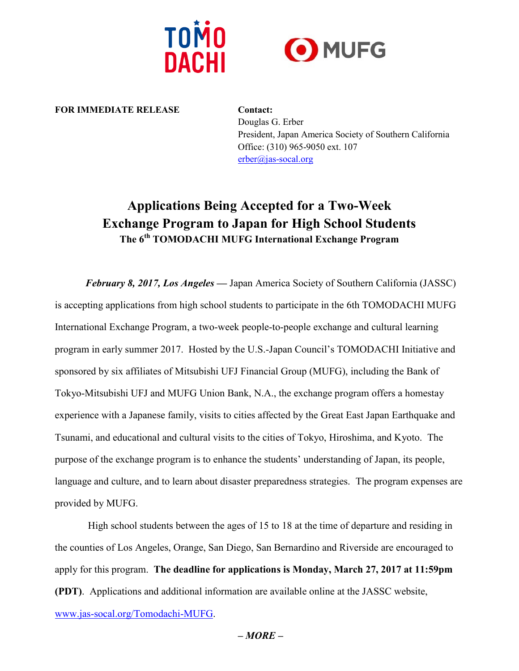



**FOR IMMEDIATE RELEASE Contact:**

Douglas G. Erber President, Japan America Society of Southern California Office: (310) 965-9050 ext. 107 [erber@jas-socal.org](mailto:erber@jas-socal.org)

# **Applications Being Accepted for a Two-Week Exchange Program to Japan for High School Students The 6 th TOMODACHI MUFG International Exchange Program**

*February 8, 2017, Los Angeles —* Japan America Society of Southern California (JASSC) is accepting applications from high school students to participate in the 6th TOMODACHI MUFG International Exchange Program, a two-week people-to-people exchange and cultural learning program in early summer 2017. Hosted by the U.S.-Japan Council's TOMODACHI Initiative and sponsored by six affiliates of Mitsubishi UFJ Financial Group (MUFG), including the Bank of Tokyo-Mitsubishi UFJ and MUFG Union Bank, N.A., the exchange program offers a homestay experience with a Japanese family, visits to cities affected by the Great East Japan Earthquake and Tsunami, and educational and cultural visits to the cities of Tokyo, Hiroshima, and Kyoto. The purpose of the exchange program is to enhance the students' understanding of Japan, its people, language and culture, and to learn about disaster preparedness strategies. The program expenses are provided by MUFG.

High school students between the ages of 15 to 18 at the time of departure and residing in the counties of Los Angeles, Orange, San Diego, San Bernardino and Riverside are encouraged to apply for this program. **The deadline for applications is Monday, March 27, 2017 at 11:59pm (PDT)**. Applications and additional information are available online at the JASSC website, [www.jas-socal.org/](http://www.jas-socal.org/)Tomodachi-MUFG.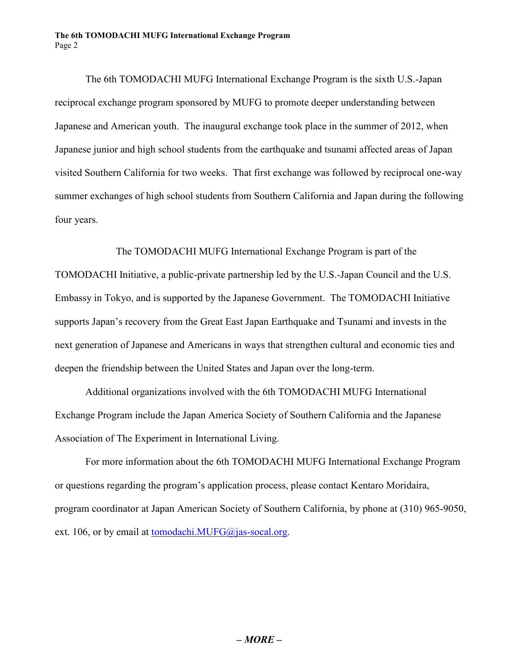The 6th TOMODACHI MUFG International Exchange Program is the sixth U.S.-Japan reciprocal exchange program sponsored by MUFG to promote deeper understanding between Japanese and American youth. The inaugural exchange took place in the summer of 2012, when Japanese junior and high school students from the earthquake and tsunami affected areas of Japan visited Southern California for two weeks. That first exchange was followed by reciprocal one-way summer exchanges of high school students from Southern California and Japan during the following four years.

The TOMODACHI MUFG International Exchange Program is part of the TOMODACHI Initiative, a public-private partnership led by the U.S.-Japan Council and the U.S. Embassy in Tokyo, and is supported by the Japanese Government. The TOMODACHI Initiative supports Japan's recovery from the Great East Japan Earthquake and Tsunami and invests in the next generation of Japanese and Americans in ways that strengthen cultural and economic ties and deepen the friendship between the United States and Japan over the long-term.

Additional organizations involved with the 6th TOMODACHI MUFG International Exchange Program include the Japan America Society of Southern California and the Japanese Association of The Experiment in International Living.

For more information about the 6th TOMODACHI MUFG International Exchange Program or questions regarding the program's application process, please contact Kentaro Moridaira, program coordinator at Japan American Society of Southern California, by phone at (310) 965-9050, ext. 106, or by email at tomodachi. MUFG@jas-socal.org.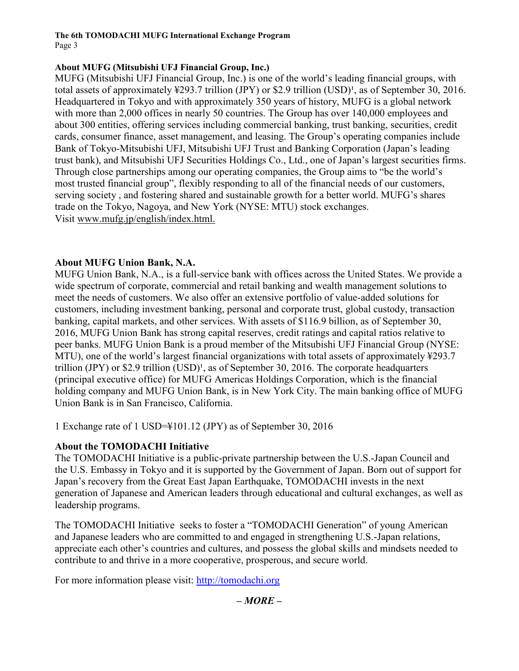#### **The 6th TOMODACHI MUFG International Exchange Program** Page 3

# **About MUFG (Mitsubishi UFJ Financial Group, Inc.)**

MUFG (Mitsubishi UFJ Financial Group, Inc.) is one of the world's leading financial groups, with total assets of approximately  $\frac{1}{293.7}$  trillion (JPY) or \$2.9 trillion (USD)<sup>1</sup>, as of September 30, 2016. Headquartered in Tokyo and with approximately 350 years of history, MUFG is a global network with more than 2,000 offices in nearly 50 countries. The Group has over 140,000 employees and about 300 entities, offering services including commercial banking, trust banking, securities, credit cards, consumer finance, asset management, and leasing. The Group's operating companies include Bank of Tokyo-Mitsubishi UFJ, Mitsubishi UFJ Trust and Banking Corporation (Japan's leading trust bank), and Mitsubishi UFJ Securities Holdings Co., Ltd., one of Japan's largest securities firms. Through close partnerships among our operating companies, the Group aims to "be the world's most trusted financial group", flexibly responding to all of the financial needs of our customers, serving society , and fostering shared and sustainable growth for a better world. MUFG's shares trade on the Tokyo, Nagoya, and New York (NYSE: MTU) stock exchanges. Visit [www.mufg.jp/english/index.html.](http://www.mufg.jp/english/index.html)

# **About MUFG Union Bank, N.A.**

MUFG Union Bank, N.A., is a full-service bank with offices across the United States. We provide a wide spectrum of corporate, commercial and retail banking and wealth management solutions to meet the needs of customers. We also offer an extensive portfolio of value-added solutions for customers, including investment banking, personal and corporate trust, global custody, transaction banking, capital markets, and other services. With assets of \$116.9 billion, as of September 30, 2016, MUFG Union Bank has strong capital reserves, credit ratings and capital ratios relative to peer banks. MUFG Union Bank is a proud member of the Mitsubishi UFJ Financial Group (NYSE: MTU), one of the world's largest financial organizations with total assets of approximately ¥293.7 trillion (JPY) or \$2.9 trillion  $(USD)^1$ , as of September 30, 2016. The corporate headquarters (principal executive office) for MUFG Americas Holdings Corporation, which is the financial holding company and MUFG Union Bank, is in New York City. The main banking office of MUFG Union Bank is in San Francisco, California.

1 Exchange rate of 1 USD=¥101.12 (JPY) as of September 30, 2016

## **About the TOMODACHI Initiative**

The TOMODACHI Initiative is a public-private partnership between the U.S.-Japan Council and the U.S. Embassy in Tokyo and it is supported by the Government of Japan. Born out of support for Japan's recovery from the Great East Japan Earthquake, TOMODACHI invests in the next generation of Japanese and American leaders through educational and cultural exchanges, as well as leadership programs.

The TOMODACHI Initiative seeks to foster a "TOMODACHI Generation" of young American and Japanese leaders who are committed to and engaged in strengthening U.S.-Japan relations, appreciate each other's countries and cultures, and possess the global skills and mindsets needed to contribute to and thrive in a more cooperative, prosperous, and secure world.

For more information please visit: [http://tomodachi.org](http://tomodachi.org/)